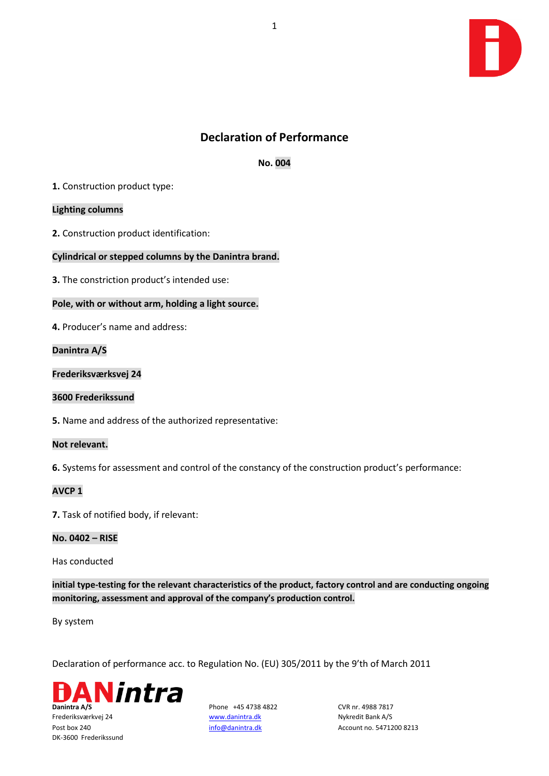

# **Declaration of Performance**

**No. 004**

**1.** Construction product type:

## **Lighting columns**

**2.** Construction product identification:

## **Cylindrical or stepped columns by the Danintra brand.**

**3.** The constriction product's intended use:

## **Pole, with or without arm, holding a light source.**

**4.** Producer's name and address:

**Danintra A/S**

**Frederiksværksvej 24**

## **3600 Frederikssund**

**5.** Name and address of the authorized representative:

## **Not relevant.**

**6.** Systems for assessment and control of the constancy of the construction product's performance:

## **AVCP 1**

**7.** Task of notified body, if relevant:

## **No. 0402 – RISE**

Has conducted

**initial type-testing for the relevant characteristics of the product, factory control and are conducting ongoing monitoring, assessment and approval of the company's production control.** 

By system

Declaration of performance acc. to Regulation No. (EU) 305/2011 by the 9'th of March 2011



Frederiksværkvej 24 [www.danintra.dk](http://www.danintra.dk/) Nykredit Bank A/S DK-3600 Frederikssund

Post box 240 **[info@danintra.dk](mailto:info@danintra.dk)** Account no. 5471200 8213